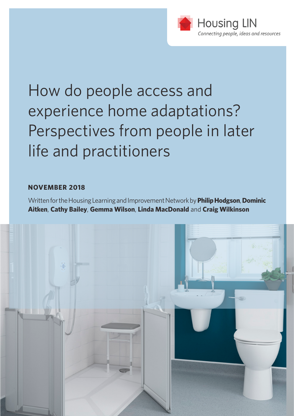

# How do people access and experience home adaptations? Perspectives from people in later life and practitioners

#### **NOVEMBER 2018**

Written for the Housing Learning and Improvement Network by **Philip Hodgson**, **Dominic Aitken**, **Cathy Bailey**, **Gemma Wilson**, **Linda MacDonald** and **Craig Wilkinson**

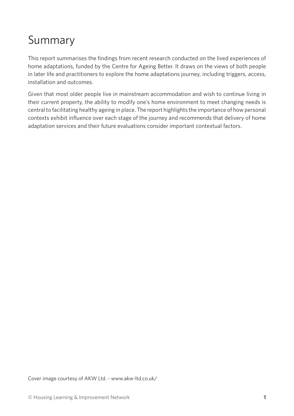## Summary

This report summarises the findings from recent research conducted on the lived experiences of home adaptations, funded by the Centre for Ageing Better. It draws on the views of both people in later life and practitioners to explore the home adaptations journey, including triggers, access, installation and outcomes.

Given that most older people live in mainstream accommodation and wish to continue living in their current property, the ability to modify one's home environment to meet changing needs is central to facilitating healthy ageing in place. The report highlights the importance of how personal contexts exhibit influence over each stage of the journey and recommends that delivery of home adaptation services and their future evaluations consider important contextual factors.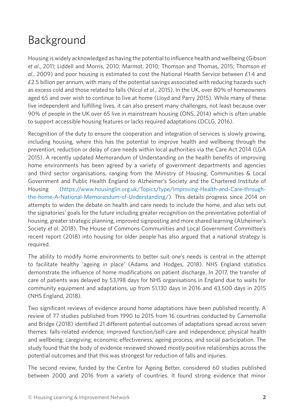# Background

Housing is widely acknowledged as having the potential to influence health and wellbeing (Gibson *et al*., 2011; Liddell and Morris, 2010; Marmot, 2010; Thomson and Thomas, 2015; Thomson *et al*., 2009) and poor housing is estimated to cost the National Health Service between £1.4 and £2.5 billion per annum, with many of the potential savings associated with reducing hazards such as excess cold and those related to falls (Nicol *et al*., 2015). In the UK, over 80% of homeowners aged 65 and over wish to continue to live at home (Lloyd and Parry 2015). While many of these live independent and fulfilling lives, it can also present many challenges, not least because over 90% of people in the UK over 65 live in mainstream housing (ONS, 2014) which is often unable to support accessible housing features or lacks required adaptations (DCLG, 2016).

Recognition of the duty to ensure the cooperation and integration of services is slowly growing, including housing, where this has the potential to improve health and wellbeing through the prevention, reduction or delay of care needs within local authorities via the Care Act 2014 (LGA 2015). A recently updated Memorandum of Understanding on the health benefits of improving home environments has been agreed by a variety of government departments and agencies and third sector organisations, ranging from the Ministry of Housing, Communities & Local Government and Public Health England to Alzheimer's Society and the Chartered Institute of Housing [\(https://www.housinglin.org.uk/Topics/type/Improving-Health-and-Care-through](https://www.housinglin.org.uk/Topics/type/Improving-Health-and-Care-through-the-home-A-National-Memorandum-of-Understanding/)[the-home-A-National-Memorandum-of-Understanding/\)](https://www.housinglin.org.uk/Topics/type/Improving-Health-and-Care-through-the-home-A-National-Memorandum-of-Understanding/). This details progress since 2014 on attempts to widen the debate on health and care needs to include the home, and also sets out the signatories' goals for the future including greater recognition on the preventative potential of housing, greater strategic planning, improved signposting and more shared learning (Alzheimer's Society *et al*. 2018). The House of Commons Communities and Local Government Committee's recent report (2018) into housing for older people has also argued that a national strategy is required.

The ability to modify home environments to better suit one's needs is central in the attempt to facilitate healthy 'ageing in place' (Adams and Hodges, 2018). NHS England statistics demonstrate the influence of home modifications on patient discharge. In 2017, the transfer of care of patients was delayed by 53,198 days for NHS organisations in England due to waits for community equipment and adaptations, up from 51,130 days in 2016 and 43,500 days in 2015 (NHS England, 2018).

Two significant reviews of evidence around home adaptations have been published recently. A review of 77 studies published from 1990 to 2015 from 16 countries conducted by Carnemolla and Bridge (2018) identified 21 different potential outcomes of adaptations spread across seven themes: falls-related evidence; improved function/self-care and independence; physical health and wellbeing; caregiving; economic effectiveness; ageing process; and social participation. The study found that the body of evidence reviewed showed mostly positive relationships across the potential outcomes and that this was strongest for reduction of falls and injuries.

The second review, funded by the Centre for Ageing Better, considered 60 studies published between 2000 and 2016 from a variety of countries. It found strong evidence that minor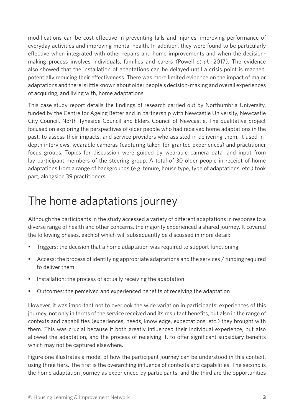modifications can be cost-effective in preventing falls and injuries, improving performance of everyday activities and improving mental health. In addition, they were found to be particularly effective when integrated with other repairs and home improvements and when the decisionmaking process involves individuals, families and carers (Powell *et al*., 2017). The evidence also showed that the installation of adaptations can be delayed until a crisis point is reached, potentially reducing their effectiveness. There was more limited evidence on the impact of major adaptations and there is little known about older people's decision-making and overall experiences of acquiring, and living with, home adaptations.

This case study report details the findings of research carried out by Northumbria University, funded by the Centre for Ageing Better and in partnership with Newcastle University, Newcastle City Council, North Tyneside Council and Elders Council of Newcastle. The qualitative project focused on exploring the perspectives of older people who had received home adaptations in the past, to assess their impacts, and service providers who assisted in delivering them. It used indepth interviews, wearable cameras (capturing taken-for-granted experiences) and practitioner focus groups. Topics for discussion were guided by wearable camera data, and input from lay participant members of the steering group. A total of 30 older people in receipt of home adaptations from a range of backgrounds (e.g. tenure, house type, type of adaptations, etc.) took part, alongside 39 practitioners.

## The home adaptations journey

Although the participants in the study accessed a variety of different adaptations in response to a diverse range of health and other concerns, the majority experienced a shared journey. It covered the following phases, each of which will subsequently be discussed in more detail:

- Triggers: the decision that a home adaptation was required to support functioning
- Access: the process of identifying appropriate adaptations and the services / funding required to deliver them
- Installation: the process of actually receiving the adaptation
- Outcomes: the perceived and experienced benefits of receiving the adaptation

However, it was important not to overlook the wide variation in participants' experiences of this journey, not only in terms of the service received and its resultant benefits, but also in the range of contexts and capabilities (experiences, needs, knowledge, expectations, etc.) they brought with them. This was crucial because it both greatly influenced their individual experience, but also allowed the adaptation, and the process of receiving it, to offer significant subsidiary benefits which may not be captured elsewhere.

Figure one illustrates a model of how the participant journey can be understood in this context, using three tiers. The first is the overarching influence of contexts and capabilities. The second is the home adaptation journey as experienced by participants, and the third are the opportunities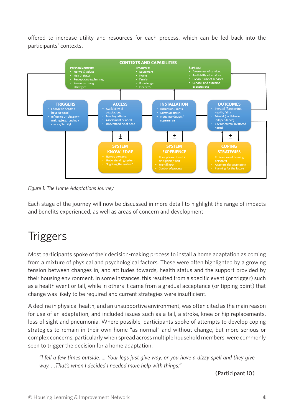offered to increase utility and resources for each process, which can be fed back into the participants' contexts.



*Figure 1: The Home Adaptations Journey*

Each stage of the journey will now be discussed in more detail to highlight the range of impacts and benefits experienced, as well as areas of concern and development.

# **Triggers**

Most participants spoke of their decision-making process to install a home adaptation as coming from a mixture of physical and psychological factors. These were often highlighted by a growing tension between changes in, and attitudes towards, health status and the support provided by their housing environment. In some instances, this resulted from a specific event (or trigger) such as a health event or fall, while in others it came from a gradual acceptance (or tipping point) that change was likely to be required and current strategies were insufficient.

A decline in physical health, and an unsupportive environment, was often cited as the main reason for use of an adaptation, and included issues such as a fall, a stroke, knee or hip replacements, loss of sight and pneumonia. Where possible, participants spoke of attempts to develop coping strategies to remain in their own home "as normal" and without change, but more serious or complex concerns, particularly when spread across multiple household members, were commonly seen to trigger the decision for a home adaptation.

*"I fell a few times outside. ... Your legs just give way, or you have a dizzy spell and they give way. …That's when I decided I needed more help with things."*

(Participant 10)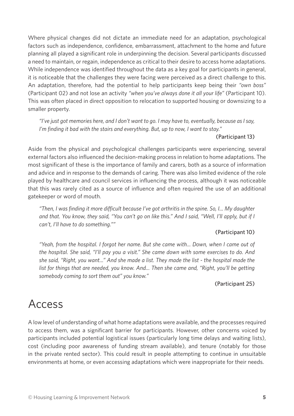Where physical changes did not dictate an immediate need for an adaptation, psychological factors such as independence, confidence, embarrassment, attachment to the home and future planning all played a significant role in underpinning the decision. Several participants discussed a need to maintain, or regain, independence as critical to their desire to access home adaptations. While independence was identified throughout the data as a key goal for participants in general, it is noticeable that the challenges they were facing were perceived as a direct challenge to this. An adaptation, therefore, had the potential to help participants keep being their *"own boss"* (Participant 02) and not lose an activity *"when you've always done it all your life"* (Participant 10). This was often placed in direct opposition to relocation to supported housing or downsizing to a smaller property.

*"I've just got memories here, and I don't want to go. I may have to, eventually, because as I say, I'm finding it bad with the stairs and everything. But, up to now, I want to stay."*

#### (Participant 13)

Aside from the physical and psychological challenges participants were experiencing, several external factors also influenced the decision-making process in relation to home adaptations. The most significant of these is the importance of family and carers, both as a source of information and advice and in response to the demands of caring. There was also limited evidence of the role played by healthcare and council services in influencing the process, although it was noticeable that this was rarely cited as a source of influence and often required the use of an additional gatekeeper or word of mouth.

*"Then, I was finding it more difficult because I've got arthritis in the spine. So, I... My daughter and that. You know, they said, "You can't go on like this." And I said, "Well, I'll apply, but if I can't, I'll have to do something.""*

#### (Participant 10)

*"Yeah, from the hospital. I forgot her name. But she came with... Down, when I came out of the hospital. She said, "I'll pay you a visit." She came down with some exercises to do. And she said, "Right, you want..." And she made a list. They made the list - the hospital made the*  list for things that are needed, you know. And... Then she came and, "Right, you'll be getting *somebody coming to sort them out" you know."*

#### (Participant 25)

### Access

A low level of understanding of what home adaptations were available, and the processes required to access them, was a significant barrier for participants. However, other concerns voiced by participants included potential logistical issues (particularly long time delays and waiting lists), cost (including poor awareness of funding stream available), and tenure (notably for those in the private rented sector). This could result in people attempting to continue in unsuitable environments at home, or even accessing adaptations which were inappropriate for their needs.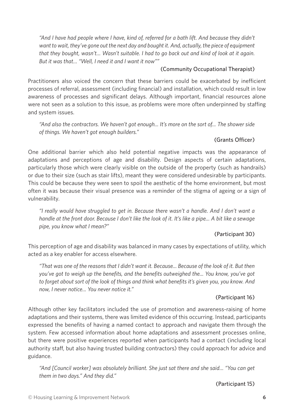"And I have had people where I have, kind of, referred for a bath lift. And because they didn't *want to wait, they've gone out the next day and bought it. And, actually, the piece of equipment that they bought, wasn't… Wasn't suitable. I had to go back out and kind of look at it again. But it was that… "Well, I need it and I want it now""*

#### (Community Occupational Therapist)

Practitioners also voiced the concern that these barriers could be exacerbated by inefficient processes of referral, assessment (including financial) and installation, which could result in low awareness of processes and significant delays. Although important, financial resources alone were not seen as a solution to this issue, as problems were more often underpinned by staffing and system issues.

*"And also the contractors. We haven't got enough... It's more on the sort of... The shower side of things. We haven't got enough builders."*

#### (Grants Officer)

One additional barrier which also held potential negative impacts was the appearance of adaptations and perceptions of age and disability. Design aspects of certain adaptations, particularly those which were clearly visible on the outside of the property (such as handrails) or due to their size (such as stair lifts), meant they were considered undesirable by participants. This could be because they were seen to spoil the aesthetic of the home environment, but most often it was because their visual presence was a reminder of the stigma of ageing or a sign of vulnerability.

*"I really would have struggled to get in. Because there wasn't a handle. And I don't want a handle at the front door. Because I don't like the look of it. It's like a pipe... A bit like a sewage pipe, you know what I mean?"*

#### (Participant 30)

This perception of age and disability was balanced in many cases by expectations of utility, which acted as a key enabler for access elsewhere.

*"That was one of the reasons that I didn't want it. Because... Because of the look of it. But then you've got to weigh up the benefits, and the benefits outweighed the... You know, you've got to forget about sort of the look of things and think what benefits it's given you, you know. And now, I never notice... You never notice it."*

#### (Participant 16)

Although other key facilitators included the use of promotion and awareness-raising of home adaptations and their systems, there was limited evidence of this occurring. Instead, participants expressed the benefits of having a named contact to approach and navigate them through the system. Few accessed information about home adaptations and assessment processes online, but there were positive experiences reported when participants had a contact (including local authority staff, but also having trusted building contractors) they could approach for advice and guidance.

*"And [Council worker] was absolutely brilliant. She just sat there and she said… "You can get them in two days." And they did."*

(Participant 15)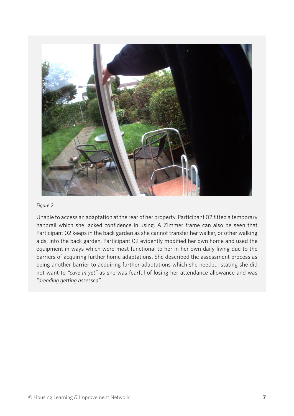

#### *Figure 2*

Unable to access an adaptation at the rear of her property, Participant 02 fitted a temporary handrail which she lacked confidence in using. A Zimmer frame can also be seen that Participant 02 keeps in the back garden as she cannot transfer her walker, or other walking aids, into the back garden. Participant 02 evidently modified her own home and used the equipment in ways which were most functional to her in her own daily living due to the barriers of acquiring further home adaptations. She described the assessment process as being another barrier to acquiring further adaptations which she needed, stating she did not want to *"cave in yet"* as she was fearful of losing her attendance allowance and was *"dreading getting assessed"*.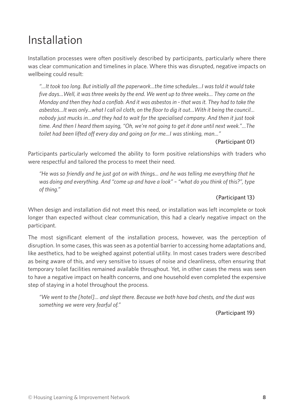### Installation

Installation processes were often positively described by participants, particularly where there was clear communication and timelines in place. Where this was disrupted, negative impacts on wellbeing could result:

*"…It took too long. But initially all the paperwork…the time schedules…I was told it would take five days…Well, it was three weeks by the end. We went up to three weeks… They came on the Monday and then they had a conflab. And it was asbestos in - that was it. They had to take the asbestos…It was only...what I call oil cloth, on the floor to dig it out…With it being the council… nobody just mucks in…and they had to wait for the specialised company. And then it just took time. And then I heard them saying, "Oh, we're not going to get it done until next week."…The toilet had been lifted off every day and going on for me…I was stinking, man…"*

#### (Participant 01)

Participants particularly welcomed the ability to form positive relationships with traders who were respectful and tailored the process to meet their need.

*"He was so friendly and he just got on with things... and he was telling me everything that he was doing and everything. And "come up and have a look" – "what do you think of this?", type of thing."*

#### (Participant 13)

When design and installation did not meet this need, or installation was left incomplete or took longer than expected without clear communication, this had a clearly negative impact on the participant.

The most significant element of the installation process, however, was the perception of disruption. In some cases, this was seen as a potential barrier to accessing home adaptations and, like aesthetics, had to be weighed against potential utility. In most cases traders were described as being aware of this, and very sensitive to issues of noise and cleanliness, often ensuring that temporary toilet facilities remained available throughout. Yet, in other cases the mess was seen to have a negative impact on health concerns, and one household even completed the expensive step of staying in a hotel throughout the process.

*"We went to the [hotel]… and slept there. Because we both have bad chests, and the dust was something we were very fearful of."*

(Participant 19)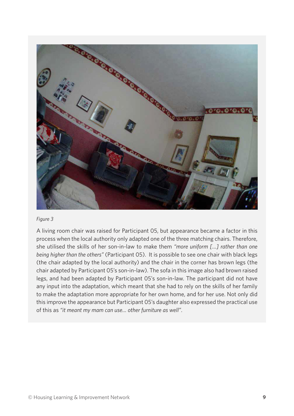

#### *Figure 3*

A living room chair was raised for Participant 05, but appearance became a factor in this process when the local authority only adapted one of the three matching chairs. Therefore, she utilised the skills of her son-in-law to make them *"more uniform […] rather than one being higher than the others"* (Participant 05). It is possible to see one chair with black legs (the chair adapted by the local authority) and the chair in the corner has brown legs (the chair adapted by Participant 05's son-in-law). The sofa in this image also had brown raised legs, and had been adapted by Participant 05's son-in-law. The participant did not have any input into the adaptation, which meant that she had to rely on the skills of her family to make the adaptation more appropriate for her own home, and for her use. Not only did this improve the appearance but Participant 05's daughter also expressed the practical use of this as *"it meant my mam can use… other furniture as well"*.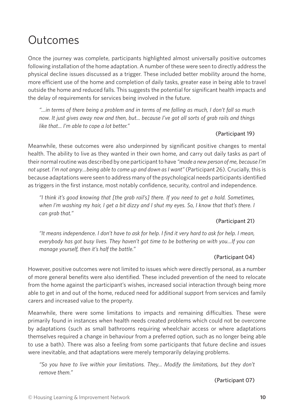### **Outcomes**

Once the journey was complete, participants highlighted almost universally positive outcomes following installation of the home adaptation. A number of these were seen to directly address the physical decline issues discussed as a trigger. These included better mobility around the home, more efficient use of the home and completion of daily tasks, greater ease in being able to travel outside the home and reduced falls. This suggests the potential for significant health impacts and the delay of requirements for services being involved in the future.

*"…in terms of there being a problem and in terms of me falling as much, I don't fall so much now. It just gives away now and then, but... because I've got all sorts of grab rails and things like that... I'm able to cope a lot better."*

#### (Participant 19)

Meanwhile, these outcomes were also underpinned by significant positive changes to mental health. The ability to live as they wanted in their own home, and carry out daily tasks as part of their normal routine was described by one participant to have *"made a new person of me, because I'm not upset. I'm not angry…being able to come up and down as I want"* (Participant 26). Crucially, this is because adaptations were seen to address many of the psychological needs participants identified as triggers in the first instance, most notably confidence, security, control and independence.

*"I think it's good knowing that [the grab rail's] there. If you need to get a hold. Sometimes, when I'm washing my hair, I get a bit dizzy and I shut my eyes. So, I know that that's there. I can grab that."*

#### (Participant 21)

*"It means independence. I don't have to ask for help. I find it very hard to ask for help. I mean, everybody has got busy lives. They haven't got time to be bothering on with you…If you can manage yourself, then it's half the battle."*

#### (Participant 04)

However, positive outcomes were not limited to issues which were directly personal, as a number of more general benefits were also identified. These included prevention of the need to relocate from the home against the participant's wishes, increased social interaction through being more able to get in and out of the home, reduced need for additional support from services and family carers and increased value to the property.

Meanwhile, there were some limitations to impacts and remaining difficulties. These were primarily found in instances when health needs created problems which could not be overcome by adaptations (such as small bathrooms requiring wheelchair access or where adaptations themselves required a change in behaviour from a preferred option, such as no longer being able to use a bath). There was also a feeling from some participants that future decline and issues were inevitable, and that adaptations were merely temporarily delaying problems.

*"So you have to live within your limitations. They... Modify the limitations, but they don't remove them."*

(Participant 07)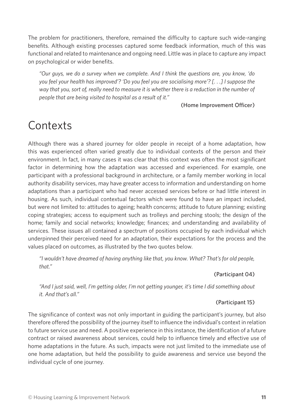The problem for practitioners, therefore, remained the difficulty to capture such wide-ranging benefits. Although existing processes captured some feedback information, much of this was functional and related to maintenance and ongoing need. Little was in place to capture any impact on psychological or wider benefits.

*"Our guys, we do a survey when we complete. And I think the questions are, you know, 'do you feel your health has improved'? 'Do you feel you are socialising more'? [. . .] I suppose the way that you, sort of, really need to measure it is whether there is a reduction in the number of people that are being visited to hospital as a result of it."*

#### (Home Improvement Officer)

# **Contexts**

Although there was a shared journey for older people in receipt of a home adaptation, how this was experienced often varied greatly due to individual contexts of the person and their environment. In fact, in many cases it was clear that this context was often the most significant factor in determining how the adaptation was accessed and experienced. For example, one participant with a professional background in architecture, or a family member working in local authority disability services, may have greater access to information and understanding on home adaptations than a participant who had never accessed services before or had little interest in housing. As such, individual contextual factors which were found to have an impact included, but were not limited to: attitudes to ageing; health concerns; attitude to future planning; existing coping strategies; access to equipment such as trolleys and perching stools; the design of the home; family and social networks; knowledge; finances; and understanding and availability of services. These issues all contained a spectrum of positions occupied by each individual which underpinned their perceived need for an adaptation, their expectations for the process and the values placed on outcomes, as illustrated by the two quotes below.

*"I wouldn't have dreamed of having anything like that, you know. What? That's for old people, that."*

#### (Participant 04)

*"And I just said, well, I'm getting older, I'm not getting younger, it's time I did something about it. And that's all."*

#### (Participant 15)

The significance of context was not only important in guiding the participant's journey, but also therefore offered the possibility of the journey itself to influence the individual's context in relation to future service use and need. A positive experience in this instance, the identification of a future contract or raised awareness about services, could help to influence timely and effective use of home adaptations in the future. As such, impacts were not just limited to the immediate use of one home adaptation, but held the possibility to guide awareness and service use beyond the individual cycle of one journey.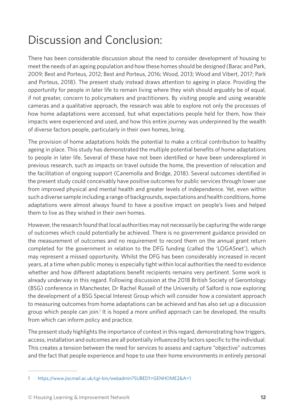# Discussion and Conclusion:

There has been considerable discussion about the need to consider development of housing to meet the needs of an ageing population and how these homes should be designed (Barac and Park, 2009; Best and Porteus, 2012; Best and Porteus, 2016; Wood, 2013; Wood and Vibert, 2017; Park and Porteus, 2018). The present study instead draws attention to ageing in place. Providing the opportunity for people in later life to remain living where they wish should arguably be of equal, if not greater, concern to policymakers and practitioners. By visiting people and using wearable cameras and a qualitative approach, the research was able to explore not only the processes of how home adaptations were accessed, but what expectations people held for them, how their impacts were experienced and used, and how this entire journey was underpinned by the wealth of diverse factors people, particularly in their own homes, bring.

The provision of home adaptations holds the potential to make a critical contribution to healthy ageing in place. This study has demonstrated the multiple potential benefits of home adaptations to people in later life. Several of these have not been identified or have been underexplored in previous research, such as impacts on travel outside the home, the prevention of relocation and the facilitation of ongoing support (Canemolla and Bridge, 2018). Several outcomes identified in the present study could conceivably have positive outcomes for public services through lower use from improved physical and mental health and greater levels of independence. Yet, even within such a diverse sample including a range of backgrounds, expectations and health conditions, home adaptations were almost always found to have a positive impact on people's lives and helped them to live as they wished in their own homes.

However, the research found that local authorities may not necessarily be capturing the wide range of outcomes which could potentially be achieved. There is no government guidance provided on the measurement of outcomes and no requirement to record them on the annual grant return completed for the government in relation to the DFG funding (called the 'LOGASnet'), which may represent a missed opportunity. Whilst the DFG has been considerably increased in recent years, at a time when public money is especially tight within local authorities the need to evidence whether and how different adaptations benefit recipients remains very pertinent. Some work is already underway in this regard. Following discussion at the 2018 British Society of Gerontology (BSG) conference in Manchester, Dr Rachel Russell of the University of Salford is now exploring the development of a BSG Special Interest Group which will consider how a consistent approach to measuring outcomes from home adaptations can be achieved and has also set up a discussion group which people can join.<sup>1</sup> It is hoped a more unified approach can be developed, the results from which can inform policy and practice.

The present study highlights the importance of context in this regard, demonstrating how triggers, access, installation and outcomes are all potentially influenced by factors specific to the individual. This creates a tension between the need for services to assess and capture "objective" outcomes and the fact that people experience and hope to use their home environments in entirely personal

<sup>1</sup> <https://www.jiscmail.ac.uk/cgi-bin/webadmin?SUBED1=GENHOME2&A=1>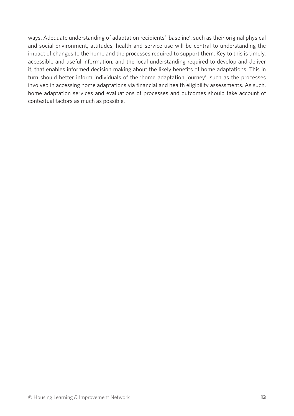ways. Adequate understanding of adaptation recipients' 'baseline', such as their original physical and social environment, attitudes, health and service use will be central to understanding the impact of changes to the home and the processes required to support them. Key to this is timely, accessible and useful information, and the local understanding required to develop and deliver it, that enables informed decision making about the likely benefits of home adaptations. This in turn should better inform individuals of the 'home adaptation journey', such as the processes involved in accessing home adaptations via financial and health eligibility assessments. As such, home adaptation services and evaluations of processes and outcomes should take account of contextual factors as much as possible.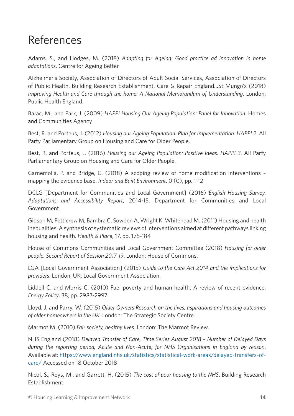### References

Adams, S., and Hodges, M. (2018) *Adapting for Ageing: Good practice ad innovation in home adaptations*. Centre for Ageing Better

Alzheimer's Society, Association of Directors of Adult Social Services, Association of Directors of Public Health, Building Research Establishment, Care & Repair England…St Mungo's (2018) *Improving Health and Care through the home: A National Memorandum of Understanding*. London: Public Health England.

Barac, M., and Park, J. (2009) *HAPPI Housing Our Ageing Population: Panel for Innovation*. Homes and Communities Agency

Best, R. and Porteus, J. (2012) *Housing our Ageing Population: Plan for Implementation. HAPPI 2*. All Party Parliamentary Group on Housing and Care for Older People.

Best, R. and Porteus, J. (2016) *Housing our Ageing Population: Positive Ideas. HAPPI 3*. All Party Parliamentary Group on Housing and Care for Older People.

Carnemolla, P. and Bridge, C. (2018) A scoping review of home modification interventions – mapping the evidence base. *Indoor and Built Environment*, 0 (0), pp. 1-12

DCLG [Department for Communities and Local Government] (2016) *English Housing Survey. Adaptations and Accessibility Report*, 2014-15. Department for Communities and Local Government.

Gibson M, Petticrew M, Bambra C, Sowden A, Wright K, Whitehead M. (2011) Housing and health inequalities: A synthesis of systematic reviews of interventions aimed at different pathways linking housing and health. *Health & Place*, 17, pp. 175-184

House of Commons Communities and Local Government Committee (2018) *Housing for older people. Second Report of Session 2017-19*. London: House of Commons.

LGA [Local Government Association] (2015) *Guide to the Care Act 2014 and the implications for providers*. London, UK: Local Government Association.

Liddell C. and Morris C. (2010) Fuel poverty and human health: A review of recent evidence. *Energy Policy*, 38, pp. 2987-2997.

Lloyd, J. and Parry, W. (2015) *Older Owners Research on the lives, aspirations and housing outcomes of older homeowners in the UK*. London: The Strategic Society Centre

Marmot M. (2010) *Fair society, healthy lives*. London: The Marmot Review.

NHS England (2018) *Delayed Transfer of Care, Time Series August 2018 – Number of Delayed Days during the reporting period, Acute and Non-Acute, for NHS Organisations in England by reason*. Available at: [https://www.england.nhs.uk/statistics/statistical-work-areas/delayed-transfers-of](https://www.england.nhs.uk/statistics/statistical-work-areas/delayed-transfers-of-care/)[care/](https://www.england.nhs.uk/statistics/statistical-work-areas/delayed-transfers-of-care/) Accessed on 18 October 2018

Nicol, S., Roys, M., and Garrett, H. (2015) *The cost of poor housing to the NHS*. Building Research Establishment.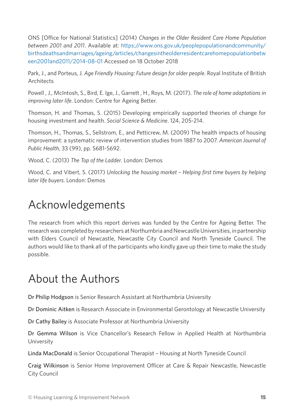ONS [Office for National Statistics] (2014) *Changes in the Older Resident Care Home Population between 2001 and 2011*. Available at: [https://www.ons.gov.uk/peoplepopulationandcommunity/](https://www.ons.gov.uk/peoplepopulationandcommunity/birthsdeathsandmarriages/ageing/articles/changesintheolderresidentcarehomepopulationbetween2001and2011/2014-08-01) [birthsdeathsandmarriages/ageing/articles/changesintheolderresidentcarehomepopulationbetw](https://www.ons.gov.uk/peoplepopulationandcommunity/birthsdeathsandmarriages/ageing/articles/changesintheolderresidentcarehomepopulationbetween2001and2011/2014-08-01) [een2001and2011/2014-08-01](https://www.ons.gov.uk/peoplepopulationandcommunity/birthsdeathsandmarriages/ageing/articles/changesintheolderresidentcarehomepopulationbetween2001and2011/2014-08-01) Accessed on 18 October 2018

Park, J., and Porteus, J. *Age Friendly Housing: Future design for older people*. Royal Institute of British **Architects** 

Powell , J., McIntosh, S., Bird, E. Ige, J., Garrett , H., Roys, M. (2017). *The role of home adaptations in improving later life*. London: Centre for Ageing Better.

Thomson, H. and Thomas, S. (2015) Developing empirically supported theories of change for housing investment and health. *Social Science & Medicine*. 124, 205-214.

Thomson, H., Thomas, S., Sellstrom, E., and Petticrew, M. (2009) The health impacts of housing improvement: a systematic review of intervention studies from 1887 to 2007. *American Journal of Public Health*, 33 (99), pp. S681-S692.

Wood, C. (2013) *The Top of the Ladder*. London: Demos

Wood, C. and Vibert, S. (2017) *Unlocking the housing market – Helping first time buyers by helping later life buyers*. London: Demos

# Acknowledgements

The research from which this report derives was funded by the Centre for Ageing Better. The research was completed by researchers at Northumbria and Newcastle Universities, in partnership with Elders Council of Newcastle, Newcastle City Council and North Tyneside Council. The authors would like to thank all of the participants who kindly gave up their time to make the study possible.

# About the Authors

Dr Philip Hodgson is Senior Research Assistant at Northumbria University

Dr Dominic Aitken is Research Associate in Environmental Gerontology at Newcastle University

Dr Cathy Bailey is Associate Professor at Northumbria University

Dr Gemma Wilson is Vice Chancellor's Research Fellow in Applied Health at Northumbria University

Linda MacDonald is Senior Occupational Therapist – Housing at North Tyneside Council

Craig Wilkinson is Senior Home Improvement Officer at Care & Repair Newcastle, Newcastle City Council